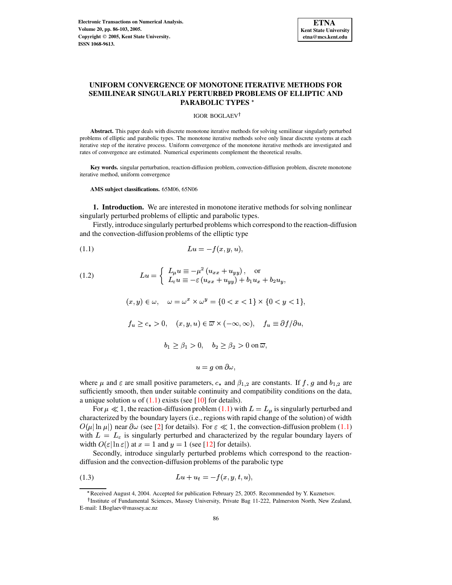

# UNIFORM CONVERGENCE OF MONOTONE ITERATIVE METHODS FOR SEMILINEAR SINGULARLY PERTURBED PROBLEMS OF ELLIPTIC AND **PARABOLIC TYPES\***

IGOR BOGLAEV<sup>†</sup>

Abstract. This paper deals with discrete monotone iterative methods for solving semilinear singularly perturbed problems of elliptic and parabolic types. The monotone iterative methods solve only linear discrete systems at each iterative step of the iterative process. Uniform convergence of the monotone iterative methods are investigated and rates of convergence are estimated. Numerical experiments complement the theoretical results.

Key words. singular perturbation, reaction-diffusion problem, convection-diffusion problem, discrete monotone iterative method, uniform convergence

AMS subject classifications. 65M06, 65N06

1. Introduction. We are interested in monotone iterative methods for solving nonlinear singularly perturbed problems of elliptic and parabolic types.

Firstly, introduce singularly perturbed problems which correspond to the reaction-diffusion and the convection-diffusion problems of the elliptic type

$$
(1.1)\qquad \qquad Lu = -f(x, y, u),
$$

<span id="page-0-1"></span>(1.2) 
$$
Lu = \begin{cases} L_{\mu}u \equiv -\mu^2 (u_{xx} + u_{yy}), & \text{or} \\ L_{\varepsilon}u \equiv -\varepsilon (u_{xx} + u_{yy}) + b_1 u_x + b_2 u_y, \end{cases}
$$

<span id="page-0-0"></span>
$$
(x, y) \in \omega
$$
,  $\omega = \omega^x \times \omega^y = \{0 < x < 1\} \times \{0 < y < 1\}$ 

$$
f_u \geq c_* > 0
$$
,  $(x, y, u) \in \overline{\omega} \times (-\infty, \infty)$ ,  $f_u \equiv \partial f / \partial u$ ,

$$
b_1 \ge \beta_1 > 0, \quad b_2 \ge \beta_2 > 0 \text{ on } \overline{\omega},
$$

$$
u = g \text{ on } \partial \omega
$$

where  $\mu$  and  $\varepsilon$  are small positive parameters,  $c_*$  and  $\beta_{1,2}$  are constants. If f, g and  $b_{1,2}$  are sufficiently smooth, then under suitable continuity and compatibility conditions on the data, a unique solution u of  $(1.1)$  exists (see [10] for details).

For  $\mu \ll 1$ , the reaction-diffusion problem (1.1) with  $L = L_{\mu}$  is singularly perturbed and characterized by the boundary layers (i.e., regions with rapid change of the solution) of width  $O(\mu \ln \mu)$  near  $\partial \omega$  (see [2] for details). For  $\varepsilon \ll 1$ , the convection-diffusion problem (1.1) with  $L = L_{\varepsilon}$  is singularly perturbed and characterized by the regular boundary layers of width  $O(\varepsilon |\ln \varepsilon|)$  at  $x = 1$  and  $y = 1$  (see [12] for details).

Secondly, introduce singularly perturbed problems which correspond to the reactiondiffusion and the convection-diffusion problems of the parabolic type

$$
(1.3) \t\t\t Lu + u_t = -f(x, y, t, u),
$$

<span id="page-0-2"></span><sup>\*</sup>Received August 4, 2004. Accepted for publication February 25, 2005. Recommended by Y. Kuznetsov.

<sup>&</sup>lt;sup>†</sup> Institute of Fundamental Sciences, Massey University, Private Bag 11-222, Palmerston North, New Zealand, E-mail: I.Boglaev@massey.ac.nz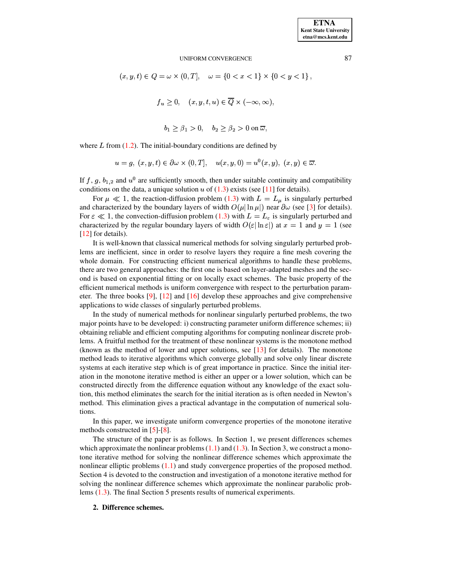$$
(x, y, t) \in Q = \omega \times (0, T], \quad \omega = \{0 < x < 1\} \times \{0 < y < 1\},
$$

$$
f_u \geq 0, \quad (x, y, t, u) \in \overline{Q} \times (-\infty, \infty),
$$

$$
b_1 \ge \beta_1 > 0, \quad b_2 \ge \beta_2 > 0 \text{ on } \overline{\omega},
$$

where  $L$  from [\(1.2\)](#page-0-1). The initial-boundary conditions are defined by

$$
u = g, (x, y, t) \in \partial \omega \times (0, T], \quad u(x, y, 0) = u^{0}(x, y), (x, y) \in \overline{\omega}.
$$

If f, g,  $b_{1,2}$  and  $u^0$  are sufficiently smooth, then under suitable continuity and compatibility conditions on the data, a unique solution u of  $(1.3)$  exists (see [\[11\]](#page-17-2) for details).

For  $\mu \ll 1$ , the reaction-diffusion problem [\(1.3\)](#page-0-2) with  $L = L_{\mu}$  is singularly perturbed and characterized by the boundary layers of width  $O(\mu |\ln \mu|)$  near  $\partial \omega$  (see [\[3\]](#page-16-1) for details). For  $\varepsilon \ll 1$ , the convection-diffusion problem [\(1.3\)](#page-0-2) with  $L = L_{\varepsilon}$  is singularly perturbed and characterized by the regular boundary layers of width  $O(\varepsilon |\ln \varepsilon|)$  at  $x = 1$  and  $y = 1$  (see [\[12\]](#page-17-1) for details).

It is well-known that classical numerical methods for solving singularly perturbed problems are inefficient, since in order to resolve layers they require a fine mesh covering the whole domain. For constructing efficient numerical algorithms to handle these problems, there are two general approaches: the first one is based on layer-adapted meshes and the second is based on exponential fitting or on locally exact schemes. The basic property of the efficient numerical methods is uniform convergence with respect to the perturbation parameter. The three books [\[9\]](#page-17-3), [\[12\]](#page-17-1) and [\[16\]](#page-17-4) develop these approaches and give comprehensive applications to wide classes of singularly perturbed problems.

In the study of numerical methods for nonlinear singularly perturbed problems, the two major points have to be developed: i) constructing parameter uniform difference schemes; ii) obtaining reliable and efficient computing algorithms for computing nonlinear discrete problems. A fruitful method for the treatment of these nonlinear systems is the monotone method (known as the method of lower and upper solutions, see  $[13]$  for details). The monotone method leads to iterative algorithms which converge globally and solve only linear discrete systems at each iterative step which is of great importance in practice. Since the initial iteration in the monotone iterative method is either an upper or a lower solution, which can be constructed directly from the difference equation without any knowledge of the exact solution, this method eliminates the search for the initial iteration as is often needed in Newton's method. This elimination gives a practical advantage in the computation of numerical solutions.

In this paper, we investigate uniform convergence properties of the monotone iterative methods constructed in [\[5\]](#page-16-2)-[\[8\]](#page-17-6).

The structure of the paper is as follows. In Section 1, we present differences schemes which approximate the nonlinear problems  $(1.1)$  and  $(1.3)$ . In Section 3, we construct a monotone iterative method for solving the nonlinear difference schemes which approximate the nonlinear elliptic problems  $(1.1)$  and study convergence properties of the proposed method. Section 4 is devoted to the construction and investigation of a monotone iterative method for solving the nonlinear difference schemes which approximate the nonlinear parabolic problems [\(1.3\)](#page-0-2). The final Section 5 presents results of numerical experiments.

# **2. Difference schemes.**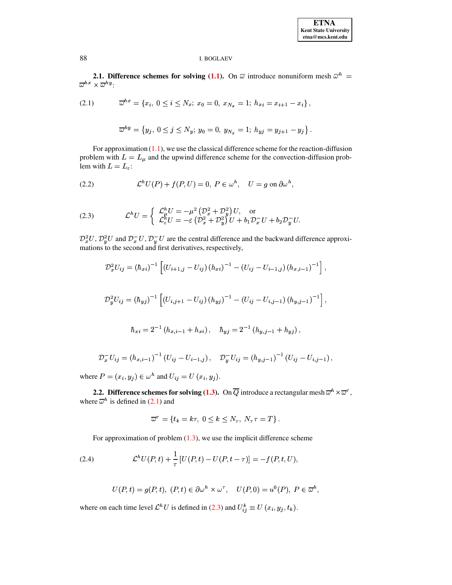**2.1. Difference schemes for solving (1.1).** On  $\overline{\omega}$  introduce nonuniform mesh  $\overline{\omega}^h = \overline{\omega}^{hx} \times \overline{\omega}^{hy}$ :

<span id="page-2-0"></span>
$$
(2.1) \t \overline{\omega}^{hx} = \{x_i, \ 0 \le i \le N_x; \ x_0 = 0, \ x_{N_x} = 1; \ h_{xi} = x_{i+1} - x_i\},
$$

$$
\overline{\omega}^{hy} = \left\{ y_j, \ 0 \leq j \leq N_y; \ y_0 = 0, \ y_{N_y} = 1; \ h_{yj} = y_{j+1} - y_j \right\}.
$$

For approximation  $(1.1)$ , we use the classical difference scheme for the reaction-diffusion problem with  $L = L_{\mu}$  and the upwind difference scheme for the convection-diffusion problem with  $L = L_{\varepsilon}$ :

<span id="page-2-2"></span>(2.2) 
$$
\mathcal{L}^h U(P) + f(P, U) = 0, P \in \omega^h, U = g \text{ on } \partial \omega^h,
$$

<span id="page-2-1"></span>(2.3) 
$$
\mathcal{L}^h U = \begin{cases} \mathcal{L}^h_\mu U = -\mu^2 \left( \mathcal{D}_x^2 + \mathcal{D}_y^2 \right) U, & \text{or} \\ \mathcal{L}^h_\varepsilon U = -\varepsilon \left( \mathcal{D}_x^2 + \mathcal{D}_y^2 \right) U + b_1 \mathcal{D}_x^- U + b_2 \mathcal{D}_y^- U. \end{cases}
$$

 $\mathcal{D}_x^2 U$ ,  $\mathcal{D}_y^2 U$  and  $\mathcal{D}_x^- U$ ,  $\mathcal{D}_y^- U$  are the central difference and the backward difference approximations to the second and first derivatives, respectively,

$$
\mathcal{D}_x^2 U_{ij} = (\hbar_{xi})^{-1} \left[ (U_{i+1,j} - U_{ij}) (h_{xi})^{-1} - (U_{ij} - U_{i-1,j}) (h_{x,i-1})^{-1} \right],
$$
  

$$
\mathcal{D}_y^2 U_{ij} = (\hbar_{yj})^{-1} \left[ (U_{i,j+1} - U_{ij}) (h_{yj})^{-1} - (U_{ij} - U_{i,j-1}) (h_{y,j-1})^{-1} \right],
$$
  

$$
\hbar_{xi} = 2^{-1} (h_{x,i-1} + h_{xi}), \quad \hbar_{yj} = 2^{-1} (h_{y,j-1} + h_{yj}),
$$

$$
\mathcal{D}_x^- U_{ij} = (h_{x,i-1})^{-1} (U_{ij} - U_{i-1,j}), \quad \mathcal{D}_y^- U_{ij} = (h_{y,j-1})^{-1} (U_{ij} - U_{i,j-1}),
$$

where  $P = (x_i, y_j) \in \omega^h$  and  $U_{ij} = U(x_i, y_j)$ .

**2.2.** Difference schemes for solving (1.3). On  $\overline{Q}$  introduce a rectangular mesh  $\overline{\omega}^h \times \overline{\omega}^{\tau}$ , where  $\overline{\omega}^h$  is defined in (2.1) and

$$
\overline{\omega}^{\tau} = \{t_k = k\tau, \ 0 \le k \le N_{\tau}, \ N_{\tau}\tau = T\}.
$$

For approximation of problem  $(1.3)$ , we use the implicit difference scheme

<span id="page-2-3"></span>(2.4) 
$$
\mathcal{L}^h U(P,t) + \frac{1}{\tau} [U(P,t) - U(P,t-\tau)] = -f(P,t,U),
$$

$$
U(P,t) = g(P,t), (P,t) \in \partial \omega^h \times \omega^{\tau}, U(P,0) = u^0(P), P \in \overline{\omega}^h
$$

where on each time level  $\mathcal{L}^h U$  is defined in (2.3) and  $U_{ij}^k \equiv U(x_i, y_j, t_k)$ .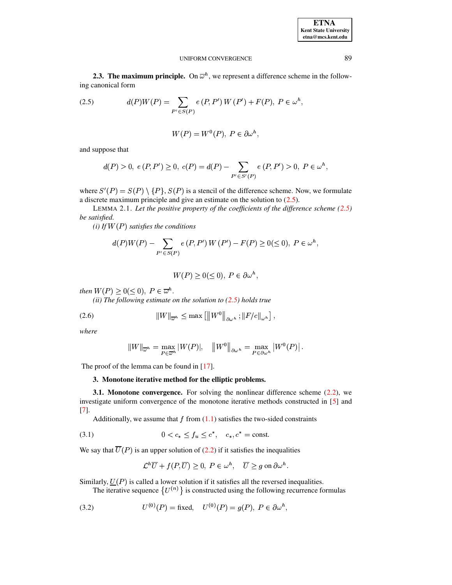| <b>ETNA</b>           |
|-----------------------|
| Kent State University |
| etna@mcs.kent.edu     |

**2.3. The maximum principle.** On  $\overline{\omega}^h$ , we represent a difference scheme in the following canonical form

<span id="page-3-0"></span>(2.5) 
$$
d(P)W(P) = \sum_{P' \in S(P)} e(P, P') W(P') + F(P), P \in \omega^h
$$

$$
W(P) = W^0(P), P \in \partial \omega^h,
$$

and suppose that

$$
d(P) > 0, e(P, P') \ge 0, c(P) = d(P) - \sum_{P' \in S'(P)} e(P, P') > 0, P \in \omega^h,
$$

where  $S'(P) = S(P) \setminus \{P\}$ ,  $S(P)$  is a stencil of the difference scheme. Now, we formulate a discrete maximum principle and give an estimate on the solution to  $(2.5)$ .

LEMMA 2.1. Let the positive property of the coefficients of the difference scheme  $(2.5)$ be satisfied.

(i) If  $W(P)$  satisfies the conditions

$$
d(P)W(P) - \sum_{P' \in S(P)} e(P, P')W(P') - F(P) \ge 0 \le 0, \ P \in \omega^h,
$$

$$
W(P) \ge 0 \le 0, \ P \in \partial \omega^h,
$$

 $\mathbb{R}^2$ 

then  $W(P) \geq 0 \leq 0$ ,  $P \in \overline{\omega}^h$ .

<span id="page-3-3"></span>(ii) The following estimate on the solution to  $(2.5)$  holds true

(2.6) 
$$
||W||_{\overline{\omega}^h} \leq \max [||W^0||_{\partial \omega^h}; ||F/c||_{\omega^h}],
$$

where

$$
||W||_{\overline{\omega}^h} = \max_{P \in \overline{\omega}^h} |W(P)|, \quad ||W^0||_{\partial \omega^h} = \max_{P \in \partial \omega^h} |W^0(P)|.
$$

The proof of the lemma can be found in  $[17]$ .

# 3. Monotone iterative method for the elliptic problems.

**3.1. Monotone convergence.** For solving the nonlinear difference scheme  $(2.2)$ , we investigate uniform convergence of the monotone iterative methods constructed in [5] and  $\left[ 7\right]$ .

<span id="page-3-2"></span>Additionally, we assume that  $f$  from  $(1.1)$  satisfies the two-sided constraints

(3.1) 
$$
0 < c_* \le f_u \le c^*, \quad c_*, c^* = \text{const.}
$$

We say that  $\overline{U}(P)$  is an upper solution of (2.2) if it satisfies the inequalities

$$
\mathcal{L}^h \overline{U} + f(P, \overline{U}) \ge 0, \ P \in \omega^h, \quad \overline{U} \ge g \text{ on } \partial \omega^h.
$$

Similarly,  $U(P)$  is called a lower solution if it satisfies all the reversed inequalities.

The iterative sequence  $\{U^{(n)}\}$  is constructed using the following recurrence formulas

 $\mathbb{R}^2$ 

<span id="page-3-1"></span>(3.2) 
$$
U^{(0)}(P) = \text{fixed}, \quad U^{(0)}(P) = g(P), \ P \in \partial \omega^h.
$$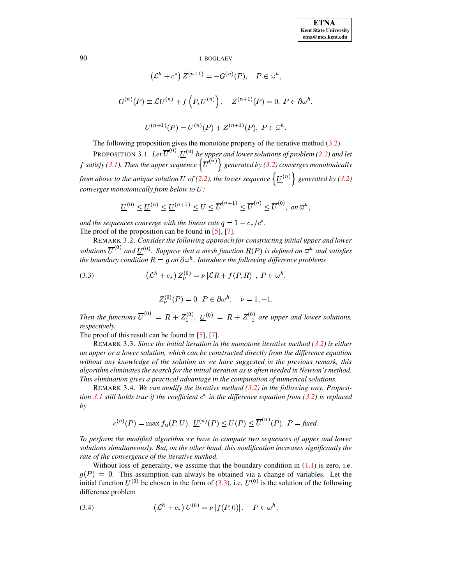$$
(\mathcal{L}^h + c^*) Z^{(n+1)} = -G^{(n)}(P), \quad P \in \omega^h,
$$
  

$$
G^{(n)}(P) \equiv \mathcal{L}U^{(n)} + f(P, U^{(n)}), \quad Z^{(n+1)}(P) = 0, \ P \in \partial \omega^h,
$$
  

$$
U^{(n+1)}(P) = U^{(n)}(P) + Z^{(n+1)}(P), \ P \in \overline{\omega}^h.
$$

The following proposition gives the monotone property of the iterative method [\(3.2\)](#page-3-1). PROPOSITION 3.1. Let  $\overline{U}^{(0)}, \underline{U}^{(0)}$  be upper and lower solutions of problem [\(2.2\)](#page-2-2) and let  $f$  satisfy [\(3.1\)](#page-3-2). Then the upper sequence  $\left\{ \overline{U}^{(n)}\right\}$  generated by [\(3.2\)](#page-3-1) converges monotonically from above to the unique solution U of [\(2.2\)](#page-2-2), the lower sequence  $\left\{\underline{U}^{(n)}\right\}$  generated by [\(3.2\)](#page-3-1) *converges monotonically from below to* ¢ *:*

<span id="page-4-0"></span>
$$
\underline{U}^{(0)} \leq \underline{U}^{(n)} \leq \underline{U}^{(n+1)} \leq U \leq \overline{U}^{(n+1)} \leq \overline{U}^{(n)} \leq \overline{U}^{(0)}, \text{ on } \overline{\omega}^h,
$$

*and* the sequences converge with the linear rate  $q = 1 - c_*/c^*$ . The proof of the proposition can be found in [\[5\]](#page-16-2), [\[7\]](#page-17-8).

REMARK 3.2. *Consider the following approach for constructing initial upper and lower* solutions  $\overline{U}^{(0)}$  and  $\underline{U}^{(0)}$ . Suppose that a mesh function  $R(P)$  is defined on  $\overline{\omega}^h$  and satisfies *the boundary condition*  $R = g$  *on*  $\partial \omega^h$ . *Introduce the following difference problems*<br>
(3.3)  $(\mathcal{L}^h + c_*) Z^{(0)} = \nu |\mathcal{L}R + f(P, R)|$ ,  $P \in \omega^h$ .

<span id="page-4-1"></span>(3.3) 
$$
\left(\mathcal{L}^h + c_*\right) Z_{\nu}^{(0)} = \nu |\mathcal{L}R + f(P,R)|, P \in \omega^h,
$$

$$
Z_{\nu}^{(0)}(P) = 0, \ P \in \partial \omega^{h}, \quad \nu = 1, -1.
$$

*Then the functions*  $\overline{U}^{(0)} = R + Z_1^{(0)}$ ,  $\underline{U}^{(0)} = R + Z_{-1}^{(0)}$  are upper and lower solutions, *respectively.*

The proof of this result can be found in [\[5\]](#page-16-2), [\[7\]](#page-17-8).

REMARK 3.3. *Since the initial iteration in the monotone iterative method [\(3.2\)](#page-3-1) is either an upper or a lower solution, which can be constructed directly from the difference equation without any knowledge of the solution as we have suggested in the previous remark, this algorithm eliminates the search for the initial iteration as is often needed in Newton's method. This elimination gives a practical advantage in the computation of numerical solutions.*

REMARK 3.4. *We can modify the iterative method [\(3.2\)](#page-3-1) in the following way. Proposition* [3.1](#page-4-0) *still holds true if the coefficient*  $c^*$  *in the difference equation from* [\(3.2\)](#page-3-1) *is replaced by*

$$
c^{(n)}(P) = \max f_u(P, U), \, \underline{U}^{(n)}(P) \le U(P) \le \overline{U}^{(n)}(P), \, P = \text{fixed}.
$$

*To perform the modified algorithm we have to compute two sequences of upper and lower solutions simultaneously. But, on the other hand, this modification increases significantly the rate of the convergence of the iterative method.*

Without loss of generality, we assume that the boundary condition in  $(1.1)$  is zero, i.e.  $q(P) = 0$ . This assumption can always be obtained via a change of variables. Let the initial function  $U^{(0)}$  be chosen in the form of [\(3.3\)](#page-4-1), i.e.  $U^{(0)}$  is the solution of the following difference problem  $\overline{y}$   $\overline{y}$   $\overline{y}$   $\overline{y}$   $\overline{y}$   $\overline{y}$   $\overline{y}$   $\overline{y}$   $\overline{y}$   $\overline{y}$   $\overline{y}$   $\overline{y}$   $\overline{y}$   $\overline{y}$   $\overline{y}$   $\overline{y}$   $\overline{y}$   $\overline{y}$   $\overline{y}$   $\overline{y}$   $\overline{y}$   $\overline{y}$   $\overline{y}$   $\overline{y}$   $\overline{$ 

<span id="page-4-2"></span>(3.4) 
$$
(\mathcal{L}^h + c_*) U^{(0)} = \nu |f(P,0)|, \quad P \in \omega^h,
$$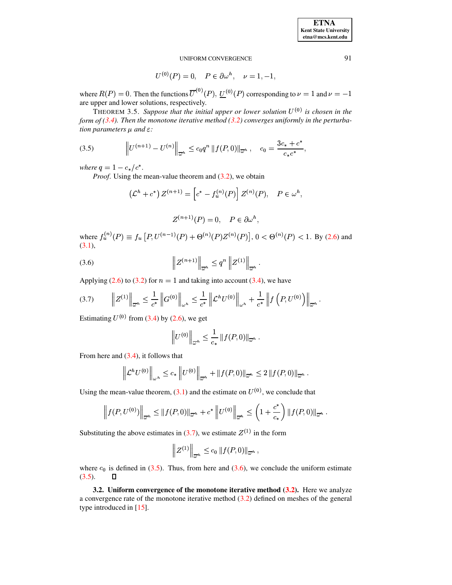$$
U^{(0)}(P) = 0
$$
,  $P \in \partial \omega^h$ ,  $\nu = 1, -1$ ,

where  $R(P) = 0$ . Then the functions  $\overline{U}^{(0)}(P)$ ,  $\underline{U}^{(0)}(P)$  corresponding to  $\nu = 1$  and  $\nu = -1$ are upper and lower solutions, respectively.

THEOREM 3.5. Suppose that the initial upper or lower solution  $U^{(0)}$  is chosen in the *form of [\(3.4\)](#page-4-2). Then the monotone iterative method [\(3.2\)](#page-3-1) converges uniformly in the perturbation parameters*  $\mu$  *and*  $\varepsilon$ :

<span id="page-5-1"></span>
$$
(3.5) \t\t\t ||U^{(n+1)} - U^{(n)}||_{\overline{\omega}^h} \le c_0 q^n ||f(P,0)||_{\overline{\omega}^h}, \quad c_0 = \frac{3c_* + c^*}{c_* c^*},
$$

*where*  $q = 1 - c_*/c^*$ .

*Proof.* Using the mean-value theorem and [\(3.2\)](#page-3-1), we obtain

$$
(\mathcal{L}^h + c^*) Z^{(n+1)} = \left[c^* - f_u^{(n)}(P)\right] Z^{(n)}(P), \quad P \in \omega^h,
$$

$$
Z^{(n+1)}(P) = 0, \quad P \in \partial \omega^h,
$$

where  $f_u^{(n)}(P) \equiv f_u [P, U^{(n-1)}(P) + \Theta^{(n)}(P) Z^{(n)}(P)], 0 < \Theta^{(n)}(P) < 1$ . By [\(2.6\)](#page-3-3) and [\(3.1\)](#page-3-2),

<span id="page-5-2"></span>(3.6) 
$$
\left\| Z^{(n+1)} \right\|_{\overline{\omega}^h} \leq q^n \left\| Z^{(1)} \right\|_{\overline{\omega}^h}.
$$

Applying [\(2.6\)](#page-3-3) to [\(3.2\)](#page-3-1) for  $n = 1$  and taking into account [\(3.4\)](#page-4-2), we have

<span id="page-5-0"></span>
$$
(3.7) \qquad \left\| Z^{(1)} \right\|_{\overline{\omega}^h} \leq \frac{1}{c^*} \left\| G^{(0)} \right\|_{\omega^h} \leq \frac{1}{c^*} \left\| \mathcal{L}^h U^{(0)} \right\|_{\omega^h} + \frac{1}{c^*} \left\| f \left( P, U^{(0)} \right) \right\|_{\overline{\omega}^h}.
$$

Estimating  $U^{(0)}$  from [\(3.4\)](#page-4-2) by [\(2.6\)](#page-3-3), we get

$$
\left\|U^{(0)}\right\|_{\overline{\omega}^h}\leq \frac{1}{c_*}\left\|f(P,0)\right\|_{\overline{\omega}^h}.
$$

From here and [\(3.4\)](#page-4-2), it follows that<br> $\left\| \mathcal{L}^{h}U^{(0)}\right\|_{\infty} \leq c_{*}$ 

$$
\left\| \mathcal{L}^{h} U^{(0)} \right\|_{\omega^{h}} \leq c_{*} \left\| U^{(0)} \right\|_{\overline{\omega}^{h}} + \left\| f(P,0) \right\|_{\overline{\omega}^{h}} \leq 2 \left\| f(P,0) \right\|_{\overline{\omega}^{h}}.
$$

Using the mean-value theorem,  $(3.1)$  and the estimate on  $U^{(0)}$ , we conclude that

$$
\left\|f(P, U^{(0)})\right\|_{\overline{\omega}^h} \leq \|f(P, 0)\|_{\overline{\omega}^h} + c^* \left\|U^{(0)}\right\|_{\overline{\omega}^h} \leq \left(1 + \frac{c^*}{c_*}\right) \|f(P, 0)\|_{\overline{\omega}^h}.
$$

Substituting the above estimates in [\(3.7\)](#page-5-0), we estimate  $Z^{(1)}$  in the form

$$
\left\|Z^{(1)}\right\|_{\overline{\omega}^h}\leq c_0\left\|f(P,0)\right\|_{\overline{\omega}^h},\,
$$

where  $c_0$  is defined in [\(3.5\)](#page-5-1). Thus, from here and [\(3.6\)](#page-5-2), we conclude the uniform estimate  $(3.5).$  $(3.5).$  $\Box$ 

**3.2. Uniform convergence of the monotone iterative method [\(3.2\)](#page-3-1).** Here we analyze a convergence rate of the monotone iterative method  $(3.2)$  defined on meshes of the general type introduced in [\[15\]](#page-17-9).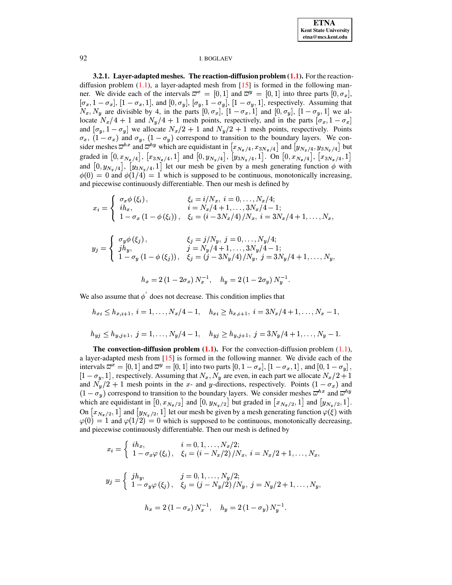

3.2.1. Layer-adapted meshes. The reaction-diffusion problem  $(1.1)$ . For the reactiondiffusion problem  $(1.1)$ , a layer-adapted mesh from  $[15]$  is formed in the following manner. We divide each of the intervals  $\overline{\omega}^x = [0,1]$  and  $\overline{\omega}^y = [0,1]$  into three parts  $[0,\sigma_x]$ ,  $[\sigma_x, 1-\sigma_x]$ ,  $[1-\sigma_x, 1]$ , and  $[0, \sigma_y]$ ,  $[\sigma_y, 1-\sigma_y]$ ,  $[1-\sigma_y, 1]$ , respectively. Assuming that  $N_x, N_y$  are divisible by 4, in the parts  $[0, \sigma_x]$ ,  $[1 - \sigma_x, 1]$  and  $[0, \sigma_y]$ ,  $[1 - \sigma_y, 1]$  we allocate  $N_x/4 + 1$  and  $N_y/4 + 1$  mesh points, respectively, and in the parts  $[\sigma_x, 1 - \sigma_x]$ and  $[\sigma_y, 1 - \sigma_y]$  we allocate  $N_x/2 + 1$  and  $N_y/2 + 1$  mesh points, respectively. Points  $\sigma_x$ ,  $(1 - \sigma_x)$  and  $\sigma_y$ ,  $(1 - \sigma_y)$  correspond to transition to the boundary layers. We consider meshes  $\overline{\omega}^{hx}$  and  $\overline{\omega}^{hy}$  which are equidistant in  $[x_{N_x/4}, x_{3N_x/4}]$  and  $[y_{N_y/4}, y_{3N_y/4}]$  but graded in  $[0, x_{N_x/4}]$ ,  $[x_{3N_x/4}, 1]$  and  $[0, y_{N_y/4}]$ ,  $[y_{3N_y/4}, 1]$ . On  $[0, x_{N_x/4}]$ ,  $[x_{3N_x/4}, 1]$ and  $[0, y_{N_y/4}]$ ,  $[y_{3N_y/4}, 1]$  let our mesh be given by a mesh generating function  $\phi$  with  $\phi(0) = 0$  and  $\phi(1/4) = 1$  which is supposed to be continuous, monotonically increasing, and piecewise continuously differentiable. Then our mesh is defined by

$$
x_i = \begin{cases} \sigma_x \phi(\xi_i), & \xi_i = i/N_x, \ i = 0, \dots, N_x/4; \\ i h_x, & i = N_x/4 + 1, \dots, 3N_x/4 - 1; \\ 1 - \sigma_x (1 - \phi(\xi_i)), & \xi_i = (i - 3N_x/4)/N_x, \ i = 3N_x/4 + 1, \dots, N_x, \end{cases}
$$

$$
y_j = \begin{cases} \sigma_y \phi(\xi_j), & \xi_j = j/N_y, \ j = 0, \dots, N_y/4; \\ j h_y, & j = N_y/4 + 1, \dots, 3N_y/4 - 1; \\ 1 - \sigma_y (1 - \phi(\xi_j)), & \xi_j = (j - 3N_y/4)/N_y, \ j = 3N_y/4 + 1, \dots, N_y, \end{cases}
$$

$$
h_x = 2\left(1 - 2\sigma_x\right)N_x^{-1}, \quad h_y = 2\left(1 - 2\sigma_y\right)N_y^{-1}.
$$

We also assume that  $\phi'$  does not decrease. This condition implies that

$$
h_{xi} \le h_{x,i+1}, i = 1, ..., N_x/4 - 1, \quad h_{xi} \ge h_{x,i+1}, i = 3N_x/4 + 1, ..., N_x - 1,
$$
  

$$
h_{yj} \le h_{y,j+1}, j = 1, ..., N_y/4 - 1, \quad h_{yj} \ge h_{y,j+1}, j = 3N_y/4 + 1, ..., N_y - 1.
$$

The convection-diffusion problem  $(1.1)$ . For the convection-diffusion problem  $(1.1)$ , a layer-adapted mesh from  $[15]$  is formed in the following manner. We divide each of the intervals  $\overline{\omega}^x = [0,1]$  and  $\overline{\omega}^y = [0,1]$  into two parts  $[0,1-\sigma_x]$ ,  $[1-\sigma_x,1]$ , and  $[0,1-\sigma_y]$ ,  $[1 - \sigma_y, 1]$ , respectively. Assuming that  $N_x, N_y$  are even, in each part we allocate  $N_x/2 + 1$ and  $N_y/2 + 1$  mesh points in the x- and y-directions, respectively. Points  $(1 - \sigma_x)$  and  $(1 - \sigma_y)$  correspond to transition to the boundary layers. We consider meshes  $\omega^{hx}$  and  $\omega^{hy}$ which are equidistant in  $[0, x_{N_x/2}]$  and  $[0, y_{N_x/2}]$  but graded in  $[x_{N_x/2}, 1]$  and  $[y_{N_x/2}, 1]$ . On  $[x_{N_x/2},1]$  and  $[y_{N_y/2},1]$  let our mesh be given by a mesh generating function  $\varphi(\xi)$  with  $\varphi(0) = 1$  and  $\varphi(1/2) = 0$  which is supposed to be continuous, monotonically decreasing, and piecewise continuously differentiable. Then our mesh is defined by

$$
x_i = \begin{cases} i h_x, & i = 0, 1, ..., N_x/2; \\ 1 - \sigma_x \varphi(\xi_i), & \xi_i = (i - N_x/2)/N_x, i = N_x/2 + 1, ..., N_x, \end{cases}
$$
  

$$
y_j = \begin{cases} j h_y, & j = 0, 1, ..., N_y/2; \\ 1 - \sigma_y \varphi(\xi_j), & \xi_j = (j - N_y/2)/N_y, j = N_y/2 + 1, ..., N_y, \end{cases}
$$
  

$$
h_x = 2 (1 - \sigma_x) N_x^{-1}, \quad h_y = 2 (1 - \sigma_y) N_y^{-1}.
$$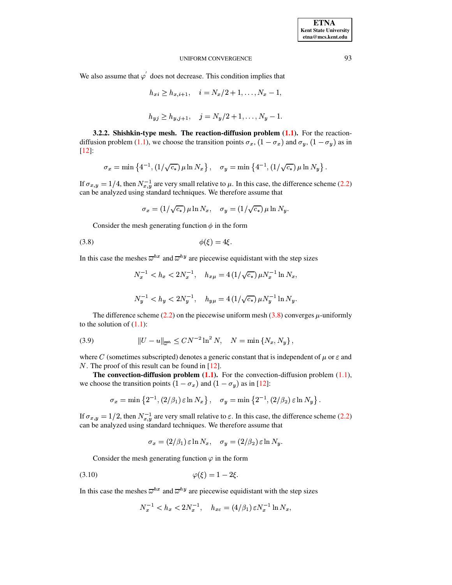We also assume that  $\varphi'$  does not decrease. This condition implies that

$$
h_{xi} \ge h_{x,i+1}, \quad i = N_x/2 + 1, \dots, N_x - 1,
$$
  

$$
h_{y,j} \ge h_{y,j+1}, \quad j = N_y/2 + 1, \dots, N_y - 1.
$$

3.2.2. Shishkin-type mesh. The reaction-diffusion problem  $(1.1)$ . For the reactiondiffusion problem (1.1), we choose the transition points  $\sigma_x$ ,  $(1 - \sigma_x)$  and  $\sigma_y$ ,  $(1 - \sigma_y)$  as in  $[12]$ :

$$
\sigma_x = \min\left\{4^{-1}, (1/\sqrt{c_*}) \,\mu \ln N_x\right\}, \quad \sigma_y = \min\left\{4^{-1}, (1/\sqrt{c_*}) \,\mu \ln N_y\right\}.
$$

If  $\sigma_{x,y} = 1/4$ , then  $N_{x,y}^{-1}$  are very small relative to  $\mu$ . In this case, the difference scheme (2.2) can be analyzed using standard techniques. We therefore assume that

<span id="page-7-0"></span>
$$
\sigma_x = (1/\sqrt{c_*}) \,\mu \ln N_x, \quad \sigma_y = (1/\sqrt{c_*}) \,\mu \ln N_y.
$$

Consider the mesh generating function  $\phi$  in the form

$$
\phi(\xi) = 4\xi
$$

In this case the meshes  $\overline{\omega}^{hx}$  and  $\overline{\omega}^{hy}$  are piecewise equidistant with the step sizes

$$
N_x^{-1} < h_x < 2N_x^{-1}, \quad h_{x\mu} = 4\left(1/\sqrt{c_*}\right) \mu N_x^{-1} \ln N_x,
$$
\n
$$
N_y^{-1} < h_y < 2N_y^{-1}, \quad h_{y\mu} = 4\left(1/\sqrt{c_*}\right) \mu N_y^{-1} \ln N_y.
$$

The difference scheme (2.2) on the piecewise uniform mesh (3.8) converges  $\mu$ -uniformly to the solution of  $(1.1)$ :

<span id="page-7-2"></span>(3.9) 
$$
||U - u||_{\overline{\omega}^h} \leq C N^{-2} \ln^2 N, \quad N = \min \{N_x, N_y\},
$$

where C (sometimes subscripted) denotes a generic constant that is independent of  $\mu$  or  $\varepsilon$  and  $N$ . The proof of this result can be found in [12].

The convection-diffusion problem  $(1.1)$ . For the convection-diffusion problem  $(1.1)$ , we choose the transition points  $(1 - \sigma_x)$  and  $(1 - \sigma_y)$  as in [12]:

$$
\sigma_x = \min\left\{2^{-1}, (2/\beta_1)\varepsilon \ln N_x\right\}, \quad \sigma_y = \min\left\{2^{-1}, (2/\beta_2)\varepsilon \ln N_y\right\}
$$

If  $\sigma_{x,y} = 1/2$ , then  $N_{x,y}^{-1}$  are very small relative to  $\varepsilon$ . In this case, the difference scheme (2.2) can be analyzed using standard techniques. We therefore assume that

 $\sigma_x = (2/\beta_1) \varepsilon \ln N_x$ ,  $\sigma_y = (2/\beta_2) \varepsilon \ln N_y$ .

Consider the mesh generating function  $\varphi$  in the form

$$
\varphi(\xi) = 1 - 2\xi.
$$

In this case the meshes  $\overline{\omega}^{hx}$  and  $\overline{\omega}^{hy}$  are piecewise equidistant with the step sizes

<span id="page-7-1"></span>
$$
N_x^{-1} < h_x < 2N_x^{-1}, \quad h_{x\varepsilon} = (4/\beta_1) \varepsilon N_x^{-1} \ln N_x,
$$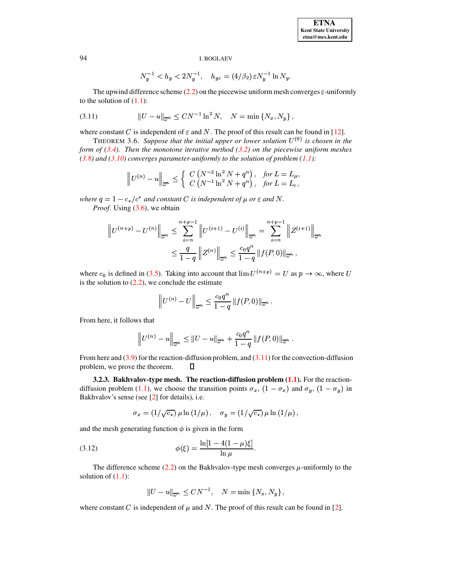$$
N_y^{-1} < h_y < 2N_y^{-1}, \quad h_{y\varepsilon} = (4/\beta_2) \, \varepsilon N_y^{-1} \ln N_y.
$$

The upwind difference scheme (2.2) on the piecewise uniform mesh converges  $\varepsilon$ -uniformly to the solution of  $(1.1)$ :

<span id="page-8-0"></span>(3.11) 
$$
||U - u||_{\overline{\omega}^h} \leq CN^{-1} \ln^2 N, \quad N = \min \{N_x, N_y\}
$$

where constant C is independent of  $\varepsilon$  and N. The proof of this result can be found in [12].

<span id="page-8-1"></span>THEOREM 3.6. Suppose that the initial upper or lower solution  $U^{(0)}$  is chosen in the form of  $(3.4)$ . Then the monotone iterative method  $(3.2)$  on the piecewise uniform meshes  $(3.8)$  and  $(3.10)$  converges parameter-uniformly to the solution of problem  $(1.1)$ :

$$
\left\| U^{(n)} - u \right\|_{\overline{\omega}^h} \le \left\{ \begin{array}{l} C \left( N^{-2} \ln^2 N + q^n \right), & \text{for } L = L_\mu, \\ C \left( N^{-1} \ln^2 N + q^n \right), & \text{for } L = L_\varepsilon, \end{array} \right.
$$

where  $q = 1 - c_*/c^*$  and constant C is independent of  $\mu$  or  $\varepsilon$  and N. *Proof.* Using  $(3.6)$ , we obtain

$$
\|U^{(n+p)} - U^{(n)}\|_{\overline{\omega}^h} \le \sum_{i=n}^{n+p-1} \|U^{(i+1)} - U^{(i)}\|_{\overline{\omega}^h} = \sum_{i=n}^{n+p-1} \|Z^{(i+1)}\|_{\overline{\omega}^h}
$$
  

$$
\le \frac{q}{1-q} \|Z^{(n)}\|_{\overline{\omega}^h} \le \frac{c_0 q^n}{1-q} \|f(P,0)\|_{\overline{\omega}^h},
$$

where  $c_0$  is defined in (3.5). Taking into account that  $\lim U^{(n+p)} = U$  as  $p \to \infty$ , where U is the solution to  $(2.2)$ , we conclude the estimate

$$
\left\|U^{(n)}-U\right\|_{\overline{\omega}^h}\leq \frac{c_0q^n}{1-q}\left\|f(P,0)\right\|_{\overline{\omega}^h}
$$

From here, it follows that

$$
\|U^{(n)} - u\|_{\overline{\omega}^h} \le \|U - u\|_{\overline{\omega}^h} + \frac{c_0 q^n}{1 - q} \|f(P, 0)\|_{\overline{\omega}^h}.
$$

From here and  $(3.9)$  for the reaction-diffusion problem, and  $(3.11)$  for the convection-diffusion problem, we prove the theorem.  $\Box$ 

3.2.3. Bakhvalov-type mesh. The reaction-diffusion problem  $(1.1)$ . For the reactiondiffusion problem (1.1), we choose the transition points  $\sigma_x$ ,  $(1 - \sigma_x)$  and  $\sigma_y$ ,  $(1 - \sigma_y)$  in Bakhvalov's sense (see [2] for details), i.e.

<span id="page-8-2"></span>
$$
\sigma_x = (1/\sqrt{c_*}) \mu \ln (1/\mu), \quad \sigma_y = (1/\sqrt{c_*}) \mu \ln (1/\mu),
$$

and the mesh generating function  $\phi$  is given in the form

(3.12) 
$$
\phi(\xi) = \frac{\ln[1 - 4(1 - \mu)\xi]}{\ln \mu}.
$$

The difference scheme (2.2) on the Bakhvalov-type mesh converges  $\mu$ -uniformly to the solution of  $(1.1)$ :

$$
||U - u||_{\overline{\omega}^h} \leq CN^{-1}, \quad N = \min \{N_x, N_y\},\
$$

where constant C is independent of  $\mu$  and N. The proof of this result can be found in [2].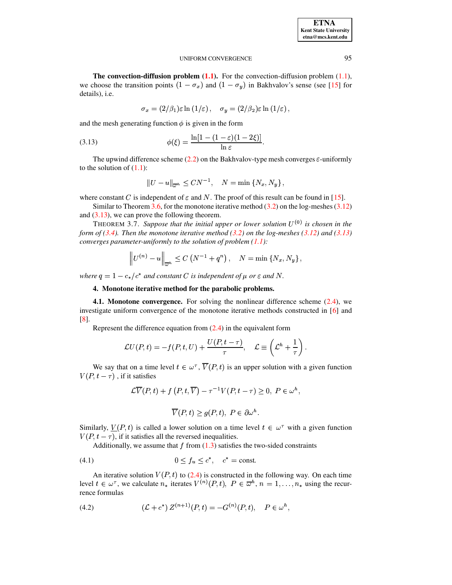The convection-diffusion problem  $(1.1)$ . For the convection-diffusion problem  $(1.1)$ , we choose the transition points  $(1 - \sigma_x)$  and  $(1 - \sigma_y)$  in Bakhvalov's sense (see [15] for details), i.e.

$$
\sigma_x = (2/\beta_1)\varepsilon \ln(1/\varepsilon), \quad \sigma_y = (2/\beta_2)\varepsilon \ln(1/\varepsilon),
$$

and the mesh generating function  $\phi$  is given in the form

<span id="page-9-0"></span>(3.13) 
$$
\phi(\xi) = \frac{\ln[1 - (1 - \varepsilon)(1 - 2\xi)]}{\ln \varepsilon}
$$

The upwind difference scheme (2.2) on the Bakhvalov-type mesh converges  $\varepsilon$ -uniformly to the solution of  $(1.1)$ :

<span id="page-9-3"></span>
$$
||U - u||_{\overline{\omega}^h} \leq CN^{-1}, \quad N = \min\left\{N_x, N_y\right\},\
$$

where constant C is independent of  $\varepsilon$  and N. The proof of this result can be found in [15].

Similar to Theorem 3.6, for the monotone iterative method  $(3.2)$  on the log-meshes  $(3.12)$ and  $(3.13)$ , we can prove the following theorem.

THEOREM 3.7. Suppose that the initial upper or lower solution  $U^{(0)}$  is chosen in the form of (3.4). Then the monotone iterative method (3.2) on the log-meshes (3.12) and (3.13) converges parameter-uniformly to the solution of problem  $(1.1)$ :

$$
\left\| U^{(n)} - u \right\|_{\overline{\omega}^h} \le C \left( N^{-1} + q^n \right), \quad N = \min \left\{ N_x, N_y \right\}
$$

where  $q = 1 - c_*/c^*$  and constant C is independent of  $\mu$  or  $\varepsilon$  and N.

# 4. Monotone iterative method for the parabolic problems.

**4.1. Monotone convergence.** For solving the nonlinear difference scheme  $(2.4)$ , we investigate uniform convergence of the monotone iterative methods constructed in [6] and  $\lceil 8 \rceil$ .

Represent the difference equation from  $(2.4)$  in the equivalent form

$$
\mathcal{L}U(P,t) = -f(P,t,U) + \frac{U(P,t-\tau)}{\tau}, \quad \mathcal{L} \equiv \left(\mathcal{L}^h + \frac{1}{\tau}\right).
$$

We say that on a time level  $t \in \omega^{\tau}$ ,  $\overline{V}(P, t)$  is an upper solution with a given function  $V(P, t - \tau)$ , if it satisfies

$$
\mathcal{L}\overline{V}(P,t) + f(P,t,\overline{V}) - \tau^{-1}V(P,t-\tau) \ge 0, \ P \in \omega^h,
$$
  

$$
\overline{V}(P,t) \ge g(P,t), \ P \in \partial \omega^h.
$$

Similarly,  $V(P, t)$  is called a lower solution on a time level  $t \in \omega^{\tau}$  with a given function  $V(P, t - \tau)$ , if it satisfies all the reversed inequalities.

<span id="page-9-1"></span>Additionally, we assume that  $f$  from  $(1.3)$  satisfies the two-sided constraints

$$
(4.1) \t\t\t 0 \le f_u \le c^*, \t c^* = \text{const.}
$$

An iterative solution  $V(P, t)$  to (2.4) is constructed in the following way. On each time level  $t \in \omega^{\tau}$ , we calculate  $n_*$  iterates  $V^{(n)}(P, t)$ ,  $P \in \overline{\omega}^h$ ,  $n = 1, \ldots, n_*$  using the recurrence formulas

<span id="page-9-2"></span>(4.2) 
$$
(\mathcal{L} + c^*) Z^{(n+1)}(P, t) = -G^{(n)}(P, t), \quad P \in \omega^h,
$$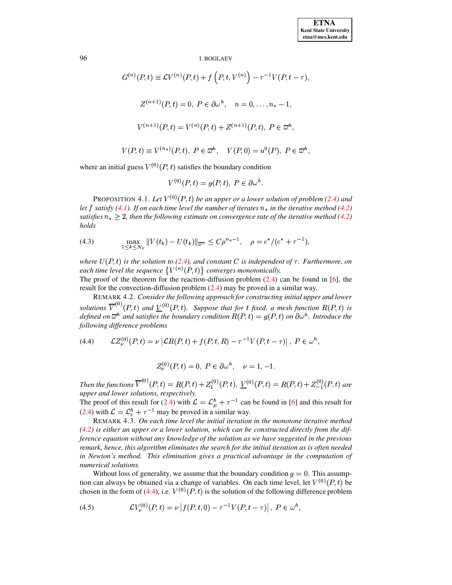$$
G^{(n)}(P,t) \equiv \mathcal{L}V^{(n)}(P,t) + f(P,t,V^{(n)}) - \tau^{-1}V(P,t-\tau),
$$
  

$$
Z^{(n+1)}(P,t) = 0, P \in \partial \omega^h, \quad n = 0, \dots, n_* - 1,
$$
  

$$
V^{(n+1)}(P,t) = V^{(n)}(P,t) + Z^{(n+1)}(P,t), P \in \overline{\omega}^h,
$$
  

$$
V(P,t) \equiv V^{(n_*)}(P,t), P \in \overline{\omega}^h, \quad V(P,0) = u^0(P), P \in \overline{\omega}^h,
$$

where an initial guess  $V^{(0)}(P,t)$  satisfies the boundary condition

$$
V^{(0)}(P,t) = g(P,t), \ P \in \partial \omega^h.
$$

PROPOSITION 4.1. Let  $V^{(0)}(P,t)$  be an upper or a lower solution of problem (2.4) and let f satisfy (4.1). If on each time level the number of iterates  $n_*$  in the iterative method (4.2) satisfies  $n_* > 2$ , then the following estimate on convergence rate of the iterative method (4.2) holds

<span id="page-10-2"></span>(4.3) 
$$
\max_{1 \leq k \leq N_{\tau}} \|V(t_k) - U(t_k)\|_{\overline{\omega}^h} \leq C \rho^{n_*-1}, \quad \rho = c^* / (c^* + \tau^{-1}),
$$

where  $U(P, t)$  is the solution to (2.4), and constant C is independent of  $\tau$ . Furthermore, on each time level the sequence  $\{V^{(n)}(P,t)\}\;$  converges monotonically.

The proof of the theorem for the reaction-diffusion problem  $(2.4)$  can be found in [6], the result for the convection-diffusion problem  $(2.4)$  may be proved in a similar way.

REMARK 4.2. Consider the following approach for constructing initial upper and lower solutions  $\overline{V}^{(0)}(P,t)$  and  $\underline{V}^{(0)}(P,t)$ . Suppose that for t fixed, a mesh function  $R(P,t)$  is defined on  $\overline{\omega}^h$  and satisfies the boundary condition  $R(P,t) = g(P,t)$  on  $\partial \omega^h$ . Introduce the following difference problems

<span id="page-10-0"></span>(4.4) 
$$
\mathcal{L}Z_{\nu}^{(0)}(P,t) = \nu \left| \mathcal{L}R(P,t) + f(P,t,R) - \tau^{-1}V(P,t-\tau) \right|, P \in \omega^h,
$$

$$
Z_{\nu}^{(0)}(P,t) = 0, P \in \partial \omega^{h}, \quad \nu = 1, -1.
$$

Then the functions  $\overline{V}^{(0)}(P,t) = R(P,t) + Z_1^{(0)}(P,t)$ ,  $\underline{V}^{(0)}(P,t) = R(P,t) + Z_{-1}^{(0)}(P,t)$  are upper and lower solutions, respectively.

The proof of this result for (2.4) with  $\mathcal{L} = \mathcal{L}_{\mu}^{h} + \tau^{-1}$  can be found in [6] and this result for (2.4) with  $\mathcal{L} = \mathcal{L}_{\varepsilon}^h + \tau^{-1}$  may be proved in a similar way.

REMARK 4.3. On each time level the initial iteration in the monotone iterative method  $(4.2)$  is either an upper or a lower solution, which can be constructed directly from the difference equation without any knowledge of the solution as we have suggested in the previous remark, hence, this algorithm eliminates the search for the initial iteration as is often needed in Newton's method. This elimination gives a practical advantage in the computation of numerical solutions.

Without loss of generality, we assume that the boundary condition  $q = 0$ . This assumption can always be obtained via a change of variables. On each time level, let  $V^{(0)}(P, t)$  be chosen in the form of (4.4), i.e.  $V^{(0)}(P, t)$  is the solution of the following difference problem

<span id="page-10-1"></span>(4.5) 
$$
\mathcal{L}V_{\nu}^{(0)}(P,t) = \nu |f(P,t,0) - \tau^{-1}V(P,t-\tau)|, P \in \omega^{h},
$$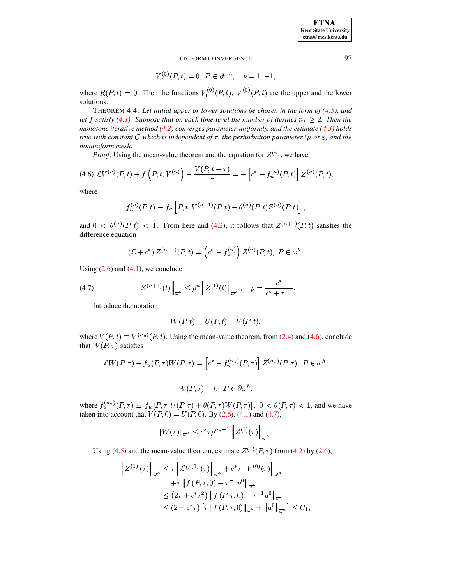$$
V_{\nu}^{(0)}(P,t) = 0, \ P \in \partial \omega^{h}, \quad \nu = 1, -1,
$$

<span id="page-11-2"></span>where  $R(P, t) = 0$ . Then the functions  $V_1^{(0)}(P, t)$ ,  $V_{-1}^{(0)}(P, t)$  are the upper and the lower solutions.

THEOREM 4.4. Let initial upper or lower solutions be chosen in the form of  $(4.5)$ , and let f satisfy (4.1). Suppose that on each time level the number of iterates  $n_* \geq 2$ . Then the monotone iterative method  $(4.2)$  converges parameter-uniformly, and the estimate  $(4.3)$  holds true with constant C which is independent of  $\tau$ , the perturbation parameter ( $\mu$  or  $\varepsilon$ ) and the nonuniform mesh.

*Proof.* Using the mean-value theorem and the equation for  $Z^{(n)}$ , we have

<span id="page-11-0"></span>
$$
(4.6)\;\mathcal{L}V^{(n)}(P,t)+f\left(P,t,V^{(n)}\right)-\frac{V(P,t-\tau)}{\tau}=-\left[c^*-f^{(n)}_u(P,t)\right]Z^{(n)}(P,t),
$$

where

$$
f_u^{(n)}(P,t) \equiv f_u \left[ P, t, V^{(n-1)}(P,t) + \theta^{(n)}(P,t) Z^{(n)}(P,t) \right],
$$

and  $0 < \theta^{(n)}(P,t) < 1$ . From here and (4.2), it follows that  $Z^{(n+1)}(P,t)$  satisfies the difference equation

$$
(\mathcal{L} + c^*) Z^{(n+1)}(P, t) = \left(c^* - f_u^{(n)}\right) Z^{(n)}(P, t), P \in \omega^h.
$$

Using  $(2.6)$  and  $(4.1)$ , we conclude

<span id="page-11-1"></span>(4.7) 
$$
\left\| Z^{(n+1)}(t) \right\|_{\overline{\omega}^h} \leq \rho^n \left\| Z^{(1)}(t) \right\|_{\overline{\omega}^h}, \quad \rho = \frac{c^*}{c^* + \tau^{-1}}.
$$

Introduce the notation

$$
W(P,t) = U(P,t) - V(P,t),
$$

where  $V(P, t) \equiv V^{(n_*)}(P, t)$ . Using the mean-value theorem, from (2.4) and (4.6), conclude that  $W(P, \tau)$  satisfies

$$
\mathcal{L}W(P,\tau) + f_u(P,\tau)W(P,\tau) = \left[c^* - f_u^{(n_*)}(P,\tau)\right]Z^{(n_*)}(P,\tau),\ P \in \omega^h,
$$

 $W(P,\tau) = 0, P \in \partial \omega^h,$ 

where  $f_u^{(n_*)}(P, \tau) \equiv f_u[P, \tau, U(P, \tau) + \theta(P, \tau)W(P, \tau)]$ ,  $0 < \theta(P, \tau) < 1$ , and we have taken into account that  $V(P, 0) = U(P, 0)$ . By (2.6), (4.1) and (4.7),

$$
||W(\tau)||_{\overline{\omega}^h} \leq c^* \tau \rho^{n_*-1} ||Z^{(1)}(\tau)||_{\overline{\omega}^h}.
$$

Using (4.5) and the mean-value theorem, estimate  $Z^{(1)}(P, \tau)$  from (4.2) by (2.6),

$$
\|Z^{(1)}(\tau)\|_{\overline{\omega}^h} \leq \tau \left\|CV^{(0)}(\tau)\right\|_{\overline{\omega}^h} + c^*\tau \left\|V^{(0)}(\tau)\right\|_{\overline{\omega}^h} \n+ \tau \left\|f(P,\tau,0) - \tau^{-1}u^0\right\|_{\overline{\omega}^h} \n\leq (2\tau + c^*\tau^2) \left\|f(P,\tau,0) - \tau^{-1}u^0\right\|_{\overline{\omega}^h} \n\leq (2 + c^*\tau) \left[\tau \left\|f(P,\tau,0)\right\|_{\overline{\omega}^h} + \left\|u^0\right\|_{\overline{\omega}^h}\right] \leq C_1,
$$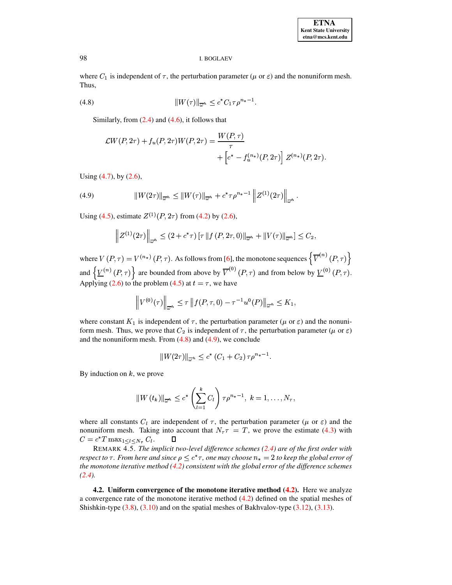where  $C_1$  is independent of  $\tau$ , the perturbation parameter ( $\mu$  or  $\varepsilon$ ) and the nonuniform mesh. Thus,

(4.8) 
$$
||W(\tau)||_{\overline{\omega}^h} \leq c^* C_1 \tau \rho^{n_*-1}.
$$

<span id="page-12-0"></span>Similarly, from  $(2.4)$  and  $(4.6)$ , it follows that

$$
\mathcal{L}W(P, 2\tau) + f_u(P, 2\tau)W(P, 2\tau) = \frac{W(P, \tau)}{\tau} + \left[c^* - f_u^{(n*)}(P, 2\tau)\right]Z^{(n*)}(P, 2\tau).
$$

Using  $(4.7)$ , by  $(2.6)$ ,

<span id="page-12-1"></span>(4.9) 
$$
||W(2\tau)||_{\overline{\omega}^h} \leq ||W(\tau)||_{\overline{\omega}^h} + c^* \tau \rho^{n_*-1} ||Z^{(1)}(2\tau)||_{\overline{\omega}^h}
$$

Using (4.5), estimate  $Z^{(1)}(P, 2\tau)$  from (4.2) by (2.6),

$$
\left\| Z^{(1)}(2\tau) \right\|_{\overline{\omega}^h} \le (2 + c^* \tau) \left[ \tau \left\| f(P, 2\tau, 0) \right\|_{\overline{\omega}^h} + \left\| V(\tau) \right\|_{\overline{\omega}^h} \right] \le C_2,
$$

where  $V(P, \tau) = V^{(n_*)}(P, \tau)$ . As follows from [6], the monotone sequences  $\left\{ \overline{V}^{(n)}(P, \tau) \right\}$ and  $\left\{ \underline{V}^{(n)}(P,\tau) \right\}$  are bounded from above by  $\overline{V}^{(0)}(P,\tau)$  and from below by  $\underline{V}^{(0)}(P,\tau)$ . Applying (2.6) to the problem (4.5) at  $t = \tau$ , we have

$$
\left\|V^{(0)}(\tau)\right\|_{\overline{\omega}^h} \leq \tau \left\|f(P,\tau,0) - \tau^{-1}u^0(P)\right\|_{\overline{\omega}^h} \leq K_1,
$$

where constant  $K_1$  is independent of  $\tau$ , the perturbation parameter ( $\mu$  or  $\varepsilon$ ) and the nonuniform mesh. Thus, we prove that  $C_2$  is independent of  $\tau$ , the perturbation parameter ( $\mu$  or  $\varepsilon$ ) and the nonuniform mesh. From  $(4.8)$  and  $(4.9)$ , we conclude

$$
||W(2\tau)||_{\overline{\omega}^h} \le c^* (C_1 + C_2) \tau \rho^{n_*-1}.
$$

By induction on  $k$ , we prove

$$
||W(t_k)||_{\overline{\omega}^h} \leq c^* \left(\sum_{l=1}^k C_l\right) \tau \rho^{n_*-1}, \ k=1,\ldots,N_\tau,
$$

where all constants  $C_l$  are independent of  $\tau$ , the perturbation parameter ( $\mu$  or  $\varepsilon$ ) and the nonuniform mesh. Taking into account that  $N<sub>\tau</sub> = T$ , we prove the estimate (4.3) with  $C = c^* T \max_{1 \leq l \leq N_{\tau}} C_l.$  $\Box$ 

REMARK 4.5. The implicit two-level difference schemes (2.4) are of the first order with respect to  $\tau$ . From here and since  $\rho \leq c^* \tau$ , one may choose  $n_* = 2$  to keep the global error of the monotone iterative method  $(4.2)$  consistent with the global error of the difference schemes  $(2.4).$ 

4.2. Uniform convergence of the monotone iterative method  $(4.2)$ . Here we analyze a convergence rate of the monotone iterative method  $(4.2)$  defined on the spatial meshes of Shishkin-type  $(3.8)$ ,  $(3.10)$  and on the spatial meshes of Bakhvalov-type  $(3.12)$ ,  $(3.13)$ .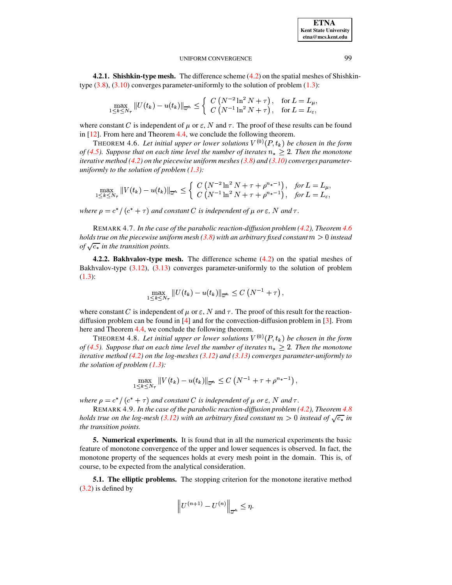**ETNA Kent State University**  $etna@mcs. kent.edu$ 

### UNIFORM CONVERGENCE

4.2.1. Shishkin-type mesh. The difference scheme (4.2) on the spatial meshes of Shishkintype  $(3.8)$ ,  $(3.10)$  converges parameter-uniformly to the solution of problem  $(1.3)$ :

$$
\max_{1 \leq k \leq N_{\tau}} \|U(t_k) - u(t_k)\|_{\overline{\omega}^h} \leq \left\{ \begin{array}{l} C\left(N^{-2} \ln^2 N + \tau\right), & \text{for } L = L_{\mu}, \\ C\left(N^{-1} \ln^2 N + \tau\right), & \text{for } L = L_{\varepsilon}, \end{array} \right.
$$

where constant C is independent of  $\mu$  or  $\varepsilon$ , N and  $\tau$ . The proof of these results can be found in  $[12]$ . From here and Theorem 4.4, we conclude the following theorem.

<span id="page-13-0"></span>THEOREM 4.6. Let initial upper or lower solutions  $V^{(0)}(P,t_k)$  be chosen in the form of (4.5). Suppose that on each time level the number of iterates  $n_* \geq 2$ . Then the monotone iterative method (4.2) on the piecewise uniform meshes (3.8) and (3.10) converges parameteruniformly to the solution of problem  $(1.3)$ :

$$
\max_{1 \le k \le N_{\tau}} \|V(t_{k}) - u(t_{k})\|_{\overline{\omega}^{h}} \le \begin{cases} C\left(N^{-2} \ln^{2} N + \tau + \rho^{n_{*}-1}\right), & \text{for } L = L_{\mu}, \\ C\left(N^{-1} \ln^{2} N + \tau + \rho^{n_{*}-1}\right), & \text{for } L = L_{\varepsilon}, \end{cases}
$$

where  $\rho = c^*/(c^* + \tau)$  and constant C is independent of  $\mu$  or  $\varepsilon$ , N and  $\tau$ .

REMARK 4.7. In the case of the parabolic reaction-diffusion problem (4.2), Theorem 4.6 holds true on the piecewise uniform mesh (3.8) with an arbitrary fixed constant  $m > 0$  instead of  $\sqrt{c_*}$  in the transition points.

**4.2.2. Bakhyalov-type mesh.** The difference scheme  $(4.2)$  on the spatial meshes of Bakhvalov-type  $(3.12)$ ,  $(3.13)$  converges parameter-uniformly to the solution of problem  $(1.3)$ :

$$
\max_{1 \leq k \leq N_{\tau}} ||U(t_k) - u(t_k)||_{\overline{\omega}^h} \leq C\left(N^{-1} + \tau\right),
$$

where constant C is independent of  $\mu$  or  $\varepsilon$ , N and  $\tau$ . The proof of this result for the reactiondiffusion problem can be found in  $[4]$  and for the convection-diffusion problem in  $[3]$ . From here and Theorem 4.4, we conclude the following theorem.

<span id="page-13-1"></span>THEOREM 4.8. Let initial upper or lower solutions  $V^{(0)}(P,t_k)$  be chosen in the form of (4.5). Suppose that on each time level the number of iterates  $n_* \geq 2$ . Then the monotone iterative method (4.2) on the log-meshes (3.12) and (3.13) converges parameter-uniformly to the solution of problem  $(1.3)$ :

$$
\max_{1\leq k\leq N_{\tau}}\|V(t_k)-u(t_k)\|_{\overline{\omega}^h}\leq C\left(N^{-1}+\tau+\rho^{n_*-1}\right),
$$

where  $\rho = c^*/(c^* + \tau)$  and constant C is independent of  $\mu$  or  $\varepsilon$ , N and  $\tau$ .

REMARK 4.9. In the case of the parabolic reaction-diffusion problem (4.2), Theorem 4.8 holds true on the log-mesh (3.12) with an arbitrary fixed constant  $m > 0$  instead of  $\sqrt{c_*}$  in the transition points.

**5. Numerical experiments.** It is found that in all the numerical experiments the basic feature of monotone convergence of the upper and lower sequences is observed. In fact, the monotone property of the sequences holds at every mesh point in the domain. This is, of course, to be expected from the analytical consideration.

**5.1. The elliptic problems.** The stopping criterion for the monotone iterative method  $(3.2)$  is defined by

$$
\left\|U^{(n+1)}-U^{(n)}\right\|_{\overline{\omega}^h}\leq \eta.
$$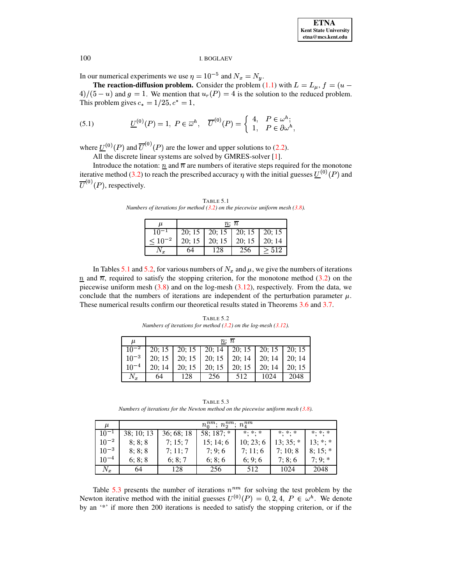In our numerical experiments we use  $\eta = 10^{-5}$  and  $N_x = N_y$ .

**The reaction-diffusion problem.** Consider the problem  $(1.1)$  with  $L = L_{\mu}$ ,  $f = (u \frac{4}{3}(5-u)$  and  $g = 1$ . We mention that  $u_r(P) = 4$  is the solution to the reduced problem. This problem gives  $c_* = 1/25, c^* = 1$ ,

<span id="page-14-3"></span>(5.1) 
$$
\underline{U}^{(0)}(P) = 1, P \in \overline{\omega}^h, \quad \overline{U}^{(0)}(P) = \begin{cases} 4, & P \in \omega^h; \\ 1, & P \in \partial \omega^h, \end{cases}
$$

where  $\underline{U}^{(0)}(P)$  and  $\overline{U}^{(0)}(P)$  are the lower and upper solutions to [\(2.2\)](#page-2-2).

All the discrete linear systems are solved by GMRES-solver [\[1\]](#page-16-5).

<span id="page-14-0"></span>Introduce the notation:  $\eta$  and  $\overline{n}$  are numbers of iterative steps required for the monotone iterative method [\(3.2\)](#page-3-1) to reach the prescribed accuracy  $\eta$  with the initial guesses  $\underline{U}^{(0)}(P)$  and  $\overline{U}^{(0)}(P)$ , respectively.

TABLE 5.1 *Numbers of iterations for method [\(3.2\)](#page-3-1) on the piecewise uniform mesh [\(3.8\)](#page-7-0).*

|                | $n;\ \overline{n}$ |                                   |     |      |  |
|----------------|--------------------|-----------------------------------|-----|------|--|
| $10^{-1}$      |                    | 20; 15   20; 15   20; 15   20; 15 |     |      |  |
| $\leq 10^{-2}$ |                    |                                   |     |      |  |
|                | 64                 |                                   | 256 | >512 |  |

In Tables [5.1](#page-14-0) and [5.2,](#page-14-1) for various numbers of  $N_x$  and  $\mu$ , we give the numbers of iterations  $n \nightharpoonup n$  and  $\overline{n}$ , required to satisfy the stopping criterion, for the monotone method [\(3.2\)](#page-3-1) on the piecewise uniform mesh  $(3.8)$  and on the log-mesh  $(3.12)$ , respectively. From the data, we conclude that the numbers of iterations are independent of the perturbation parameter  $\mu$ . These numerical results confirm our theoretical results stated in Theorems [3.6](#page-8-1) and [3.7.](#page-9-3)

TABLE 5.2 *Numbers of iterations for method [\(3.2\)](#page-3-1) on the log-mesh [\(3.12\)](#page-8-2).*

<span id="page-14-1"></span>

| и          | $n: \bar{n}$ |     |                                                                                                                        |     |      |       |
|------------|--------------|-----|------------------------------------------------------------------------------------------------------------------------|-----|------|-------|
|            |              |     | $\boxed{10^{-2}$ $\boxed{20; 15}$ $\boxed{20; 15}$ $\boxed{20; 14}$ $\boxed{20; 15}$ $\boxed{20; 15}$ $\boxed{20; 15}$ |     |      |       |
|            |              |     | $10^{-3}$   20; 15   20; 15   20; 15   20; 14   20; 14   20; 14                                                        |     |      |       |
| $10^{-4}$  |              |     | 20; 14   20; 15   20; 15   20; 15   20; 14                                                                             |     |      | 20;15 |
| $N_{\tau}$ | 64           | 128 | 256                                                                                                                    | 512 | 1024 | 2048  |

TABLE 5.3 *Numbers of iterations for the Newton method on the piecewise uniform mesh [\(3.8\)](#page-7-0).*

<span id="page-14-2"></span>

| $\mu$     |            | $n_0^{nm};\,n_2^{nm};\,n_4^{nm}$ |             |                     |                 |              |  |
|-----------|------------|----------------------------------|-------------|---------------------|-----------------|--------------|--|
| $10^{-1}$ | 38; 10; 13 | 36:68:18                         | $58:187:$ * | $* \cdot * \cdot *$ | $*$ . $*$ . $*$ | $*$ $*$ $*$  |  |
| $10^{-2}$ | 8:8:8      | 7:15:7                           | 15:14:6     | 10:23:6             | $13:35$ : *     | $13:$ *: *   |  |
| $10^{-3}$ | 8:8:8      | 7:11:7                           | 7:9:6       | 7:11:6              | 7:10:8          | $8:15$ ; $*$ |  |
| $10^{-4}$ | 6: 8: 8    | 6: 8: 7                          | 6:8:6       | 6:9:6               | 7:8:6           | $7:9:$ *     |  |
| $N_x$     | 64         | 128                              | 256         | 512                 | 1024            | 2048         |  |

Table [5.3](#page-14-2) presents the number of iterations  $n^{nm}$  for solving the test problem by the Newton iterative method with the initial guesses  $U^{(0)}(P) = 0, 2, 4, P \in \omega^h$ . We denote by an '\*' if more then 200 iterations is needed to satisfy the stopping criterion, or if the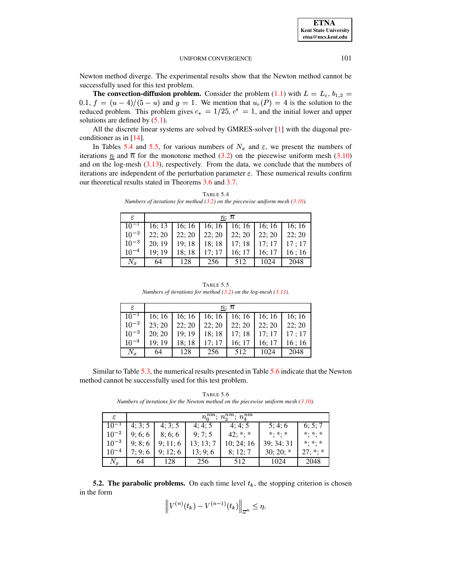**ETNA Kent State University**  $etna@mcs. kent.edu$ 

### UNIFORM CONVERGENCE

Newton method diverge. The experimental results show that the Newton method cannot be successfully used for this test problem.

**The convection-diffusion problem.** Consider the problem (1.1) with  $L = L_{\varepsilon}, b_{1,2} =$ 0.1,  $f = (u - 4)/(5 - u)$  and  $g = 1$ . We mention that  $u_r(P) = 4$  is the solution to the reduced problem. This problem gives  $c_* = 1/25$ ,  $c^* = 1$ , and the initial lower and upper solutions are defined by  $(5.1)$ .

All the discrete linear systems are solved by GMRES-solver  $[1]$  with the diagonal preconditioner as in  $[14]$ .

In Tables 5.4 and 5.5, for various numbers of  $N_x$  and  $\varepsilon$ , we present the numbers of iterations  $\eta$  and  $\overline{n}$  for the monotone method (3.2) on the piecewise uniform mesh (3.10) and on the log-mesh  $(3.13)$ , respectively. From the data, we conclude that the numbers of iterations are independent of the perturbation parameter  $\varepsilon$ . These numerical results confirm our theoretical results stated in Theorems 3.6 and 3.7.

| <b>TABLE 5.4</b>                                                                  |
|-----------------------------------------------------------------------------------|
| Numbers of iterations for method $(3.2)$ on the piecewise uniform mesh $(3.10)$ . |

<span id="page-15-0"></span>

| ε          |       |       |        | $n;\,\overline{n}$ |       |       |
|------------|-------|-------|--------|--------------------|-------|-------|
| $10^{-1}$  | 16:13 | 16:16 | 16; 16 | 16; 16             | 16:16 | 16:16 |
| $10^{-2}$  | 22:20 | 22:20 | 22:20  | 22; 20             | 22:20 | 22:20 |
| $10^{-3}$  | 20:19 | 19:18 | 18:18  | 17;18              | 17:17 | 17:17 |
| $10^{-4}$  | 19:19 | 18;18 | 17:17  | 16; 17             | 16:17 | 16:16 |
| $N_{\tau}$ | 64    | 128   | 256    | 512                | 1024  | 2048  |

TABLE 5.5 Numbers of iterations for method  $(3.2)$  on the log-mesh  $(3.13)$ .

<span id="page-15-1"></span>

| ε           | $n; \bar{n}$ |       |        |                                     |        |       |
|-------------|--------------|-------|--------|-------------------------------------|--------|-------|
| $10^{-1}$   | 16; 16       |       |        | $16; 16$   16; 16   16; 16   16; 16 |        | 16:16 |
| $10^{-2}$   | 23:20        | 22:20 | 22:20  | 22:20                               | 22:20  | 22:20 |
| $10^{-3}$   | 20:20        | 19:19 | 18;18  | 17;18                               | 17; 17 | 17:17 |
| $10^{-4}$   | 19:19        | 18:18 | 17; 17 | 16:17                               | 16:17  | 16:16 |
| $N_{\bm r}$ | 64           | 128   | 256    | 512                                 | 1024   | 2048  |

Similar to Table 5.3, the numerical results presented in Table 5.6 indicate that the Newton method cannot be successfully used for this test problem.

TABLE 5.6 Numbers of iterations for the Newton method on the piecewise uniform mesh  $(3.10)$ .

<span id="page-15-2"></span>

| ε         |       | $n_0^{nm}$ ;<br>$n_2^{nm};\,n_4^{nm}$ |         |             |                     |                          |  |  |
|-----------|-------|---------------------------------------|---------|-------------|---------------------|--------------------------|--|--|
| $10^{-1}$ | 4:3:5 | 4:3:5                                 | 4:4:5   | 4:4:5       | 5:4:6               | 6; 5; 7                  |  |  |
| $10^{-2}$ | 9:6:6 | 8:6:6                                 | 9:7:5   | $42; **; *$ | $* \cdot * \cdot *$ | $\ast \cdot \cdot \cdot$ |  |  |
| $10^{-3}$ | 9:8:6 | 9:11:6                                | 13:13:7 | 10:24:16    | 39; 34; 31          | $*$ . $*$ . $*$          |  |  |
| $10^{-4}$ | 7:9:6 | 9:12:6                                | 13:9:6  | 8:12:7      | $30; 20; *$         | $27; **; *$              |  |  |
| $N_x$     | 64    | 128                                   | 256     | 512         | 1024                | 2048                     |  |  |

**5.2. The parabolic problems.** On each time level  $t_k$ , the stopping criterion is chosen in the form

$$
\left\|V^{(n)}(t_k) - V^{(n-1)}(t_k)\right\|_{\overline{\omega}^h} \leq \eta,
$$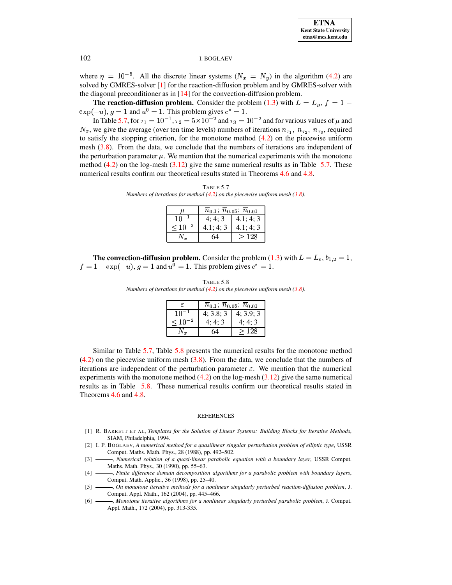

where  $\eta = 10^{-5}$ . All the discrete linear systems  $(N_x = N_y)$  in the algorithm (4.2) are solved by GMRES-solver [1] for the reaction-diffusion problem and by GMRES-solver with the diagonal preconditioner as in  $[14]$  for the convection-diffusion problem.

**The reaction-diffusion problem.** Consider the problem (1.3) with  $L = L_{\mu}$ ,  $f = 1 \exp(-u)$ ,  $g = 1$  and  $u^0 = 1$ . This problem gives  $c^* = 1$ .

In Table 5.7, for  $\tau_1 = 10^{-1}$ ,  $\tau_2 = 5 \times 10^{-2}$  and  $\tau_3 = 10^{-2}$  and for various values of  $\mu$  and  $N_x$ , we give the average (over ten time levels) numbers of iterations  $n_{\tau_1}$ ,  $n_{\tau_2}$ ,  $n_{\tau_3}$ , required to satisfy the stopping criterion, for the monotone method  $(4.2)$  on the piecewise uniform mesh  $(3.8)$ . From the data, we conclude that the numbers of iterations are independent of the perturbation parameter  $\mu$ . We mention that the numerical experiments with the monotone method  $(4.2)$  on the log-mesh  $(3.12)$  give the same numerical results as in Table 5.7. These numerical results confirm our theoretical results stated in Theorems 4.6 and 4.8.

<span id="page-16-6"></span>TABLE 5.7 Numbers of iterations for method  $(4.2)$  on the piecewise uniform mesh  $(3.8)$ .

| u              | $n_{0.1}; n_{0.05}; \overline{n}_{0.01}$ |           |
|----------------|------------------------------------------|-----------|
|                | 4:4:3                                    | 4.1; 4; 3 |
| $\leq 10^{-2}$ | 4.1; 4; 3                                | 4.1; 4; 3 |
|                |                                          | 128       |

<span id="page-16-7"></span>**The convection-diffusion problem.** Consider the problem (1.3) with  $L = L_{\varepsilon}$ ,  $b_{1,2} = 1$ ,  $f = 1 - \exp(-u)$ ,  $g = 1$  and  $u^0 = 1$ . This problem gives  $c^* = 1$ .

TABLE 5.8 Numbers of iterations for method  $(4.2)$  on the piecewise uniform mesh  $(3.8)$ .

|             | $\overline{n}_{0.1}; \overline{n}_{0.05}; \overline{n}_{0.01}$ |           |  |
|-------------|----------------------------------------------------------------|-----------|--|
| $10 -$      | 4; 3.8; 3                                                      | 4; 3.9; 3 |  |
| $< 10^{-2}$ | 4:4:3                                                          | 4:4:3     |  |
|             |                                                                | 128       |  |

Similar to Table 5.7, Table 5.8 presents the numerical results for the monotone method  $(4.2)$  on the piecewise uniform mesh  $(3.8)$ . From the data, we conclude that the numbers of iterations are independent of the perturbation parameter  $\varepsilon$ . We mention that the numerical experiments with the monotone method  $(4.2)$  on the log-mesh  $(3.12)$  give the same numerical results as in Table 5.8. These numerical results confirm our theoretical results stated in Theorems 4.6 and 4.8.

#### **REFERENCES**

- <span id="page-16-5"></span>[1] R. BARRETT ET AL, Templates for the Solution of Linear Systems: Building Blocks for Iterative Methods, SIAM, Philadelphia, 1994.
- <span id="page-16-1"></span><span id="page-16-0"></span>[2] I. P. BOGLAEV, A numerical method for a quasilinear singular perturbation problem of elliptic type, USSR Comput. Maths. Math. Phys., 28 (1988), pp. 492-502.
- , Numerical solution of a quasi-linear parabolic equation with a boundary layer, USSR Comput.  $\lceil 3 \rceil$ Maths. Math. Phys., 30 (1990), pp. 55-63.
- <span id="page-16-4"></span>-, Finite difference domain decomposition algorithms for a parabolic problem with boundary layers,  $[4]$ Comput. Math. Applic., 36 (1998), pp. 25-40.
- <span id="page-16-2"></span> $[5]$ -, On monotone iterative methods for a nonlinear singularly perturbed reaction-diffusion problem, J. Comput. Appl. Math., 162 (2004), pp. 445-466.
- <span id="page-16-3"></span>-, Monotone iterative algorithms for a nonlinear singularly perturbed parabolic problem, J. Comput.  $[6]$  — Appl. Math., 172 (2004), pp. 313-335.